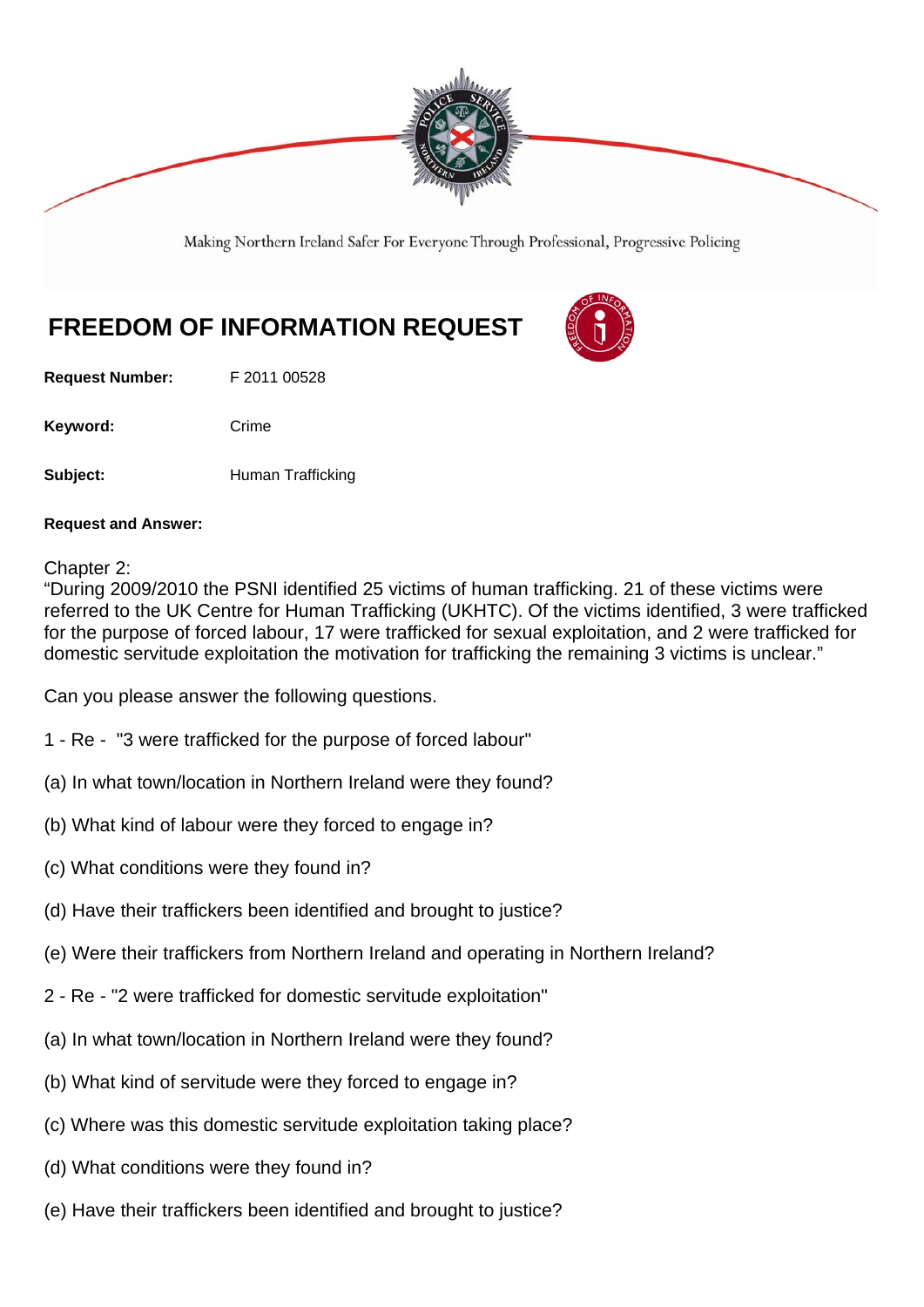

Making Northern Ireland Safer For Everyone Through Professional, Progressive Policing

# **FREEDOM OF INFORMATION REQUEST**

**Request Number:** F 2011 00528

Keyword: Crime

**Subject:** Human Trafficking

#### **Request and Answer:**

Chapter 2:

"During 2009/2010 the PSNI identified 25 victims of human trafficking. 21 of these victims were referred to the UK Centre for Human Trafficking (UKHTC). Of the victims identified, 3 were trafficked for the purpose of forced labour, 17 were trafficked for sexual exploitation, and 2 were trafficked for domestic servitude exploitation the motivation for trafficking the remaining 3 victims is unclear."

Can you please answer the following questions.

- 1 Re "3 were trafficked for the purpose of forced labour"
- (a) In what town/location in Northern Ireland were they found?
- (b) What kind of labour were they forced to engage in?
- (c) What conditions were they found in?
- (d) Have their traffickers been identified and brought to justice?
- (e) Were their traffickers from Northern Ireland and operating in Northern Ireland?
- 2 Re "2 were trafficked for domestic servitude exploitation"
- (a) In what town/location in Northern Ireland were they found?
- (b) What kind of servitude were they forced to engage in?
- (c) Where was this domestic servitude exploitation taking place?
- (d) What conditions were they found in?
- (e) Have their traffickers been identified and brought to justice?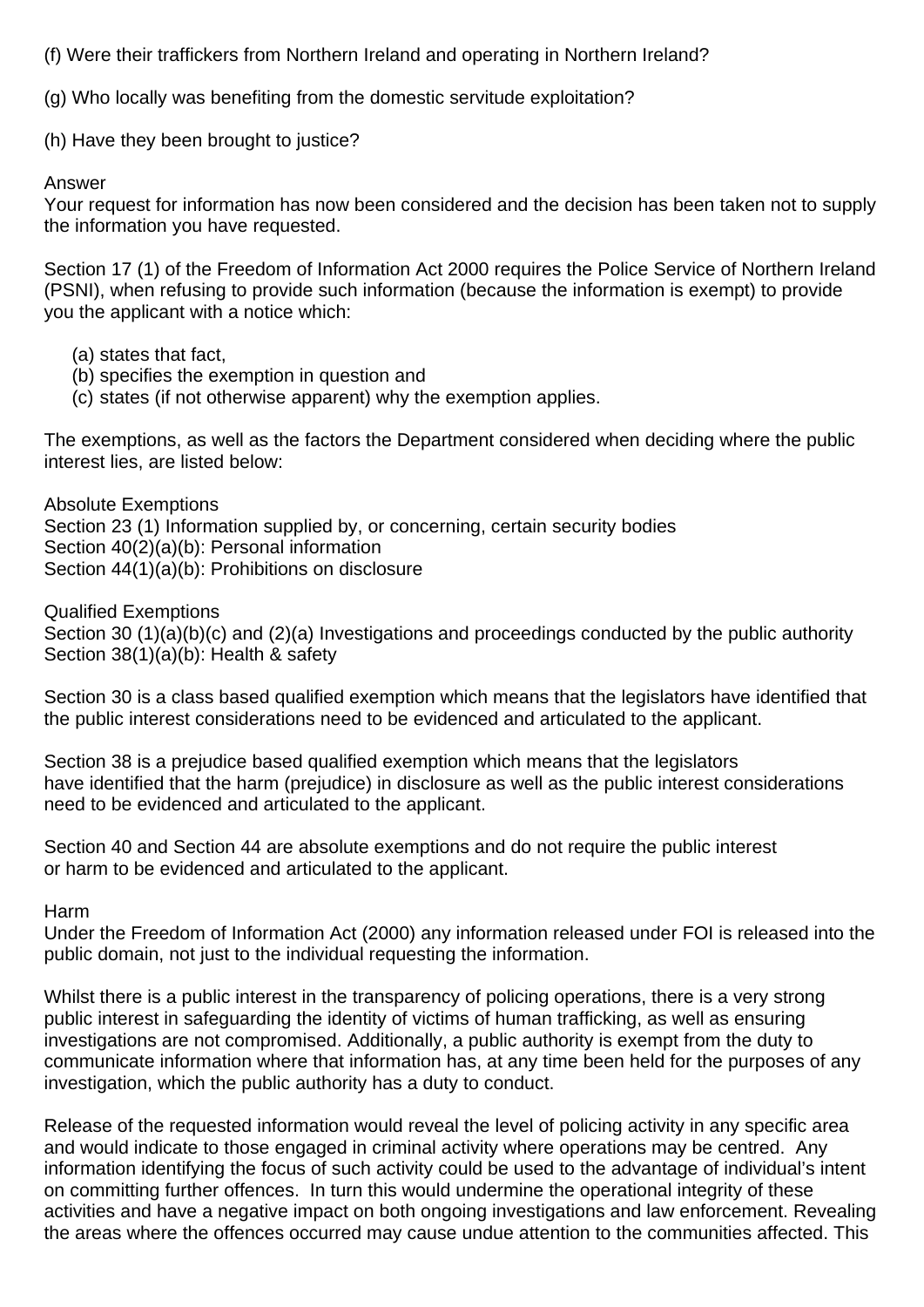(f) Were their traffickers from Northern Ireland and operating in Northern Ireland?

(g) Who locally was benefiting from the domestic servitude exploitation?

(h) Have they been brought to justice?

#### Answer

Your request for information has now been considered and the decision has been taken not to supply the information you have requested.

Section 17 (1) of the Freedom of Information Act 2000 requires the Police Service of Northern Ireland (PSNI), when refusing to provide such information (because the information is exempt) to provide you the applicant with a notice which:

- (a) states that fact,
- (b) specifies the exemption in question and
- (c) states (if not otherwise apparent) why the exemption applies.

The exemptions, as well as the factors the Department considered when deciding where the public interest lies, are listed below:

Absolute Exemptions Section 23 (1) Information supplied by, or concerning, certain security bodies Section 40(2)(a)(b): Personal information Section 44(1)(a)(b): Prohibitions on disclosure

Qualified Exemptions Section 30 (1)(a)(b)(c) and (2)(a) Investigations and proceedings conducted by the public authority Section 38(1)(a)(b): Health & safety

Section 30 is a class based qualified exemption which means that the legislators have identified that the public interest considerations need to be evidenced and articulated to the applicant.

Section 38 is a prejudice based qualified exemption which means that the legislators have identified that the harm (prejudice) in disclosure as well as the public interest considerations need to be evidenced and articulated to the applicant.

Section 40 and Section 44 are absolute exemptions and do not require the public interest or harm to be evidenced and articulated to the applicant.

#### Harm

Under the Freedom of Information Act (2000) any information released under FOI is released into the public domain, not just to the individual requesting the information.

Whilst there is a public interest in the transparency of policing operations, there is a very strong public interest in safeguarding the identity of victims of human trafficking, as well as ensuring investigations are not compromised. Additionally, a public authority is exempt from the duty to communicate information where that information has, at any time been held for the purposes of any investigation, which the public authority has a duty to conduct.

Release of the requested information would reveal the level of policing activity in any specific area and would indicate to those engaged in criminal activity where operations may be centred. Any information identifying the focus of such activity could be used to the advantage of individual's intent on committing further offences. In turn this would undermine the operational integrity of these activities and have a negative impact on both ongoing investigations and law enforcement. Revealing the areas where the offences occurred may cause undue attention to the communities affected. This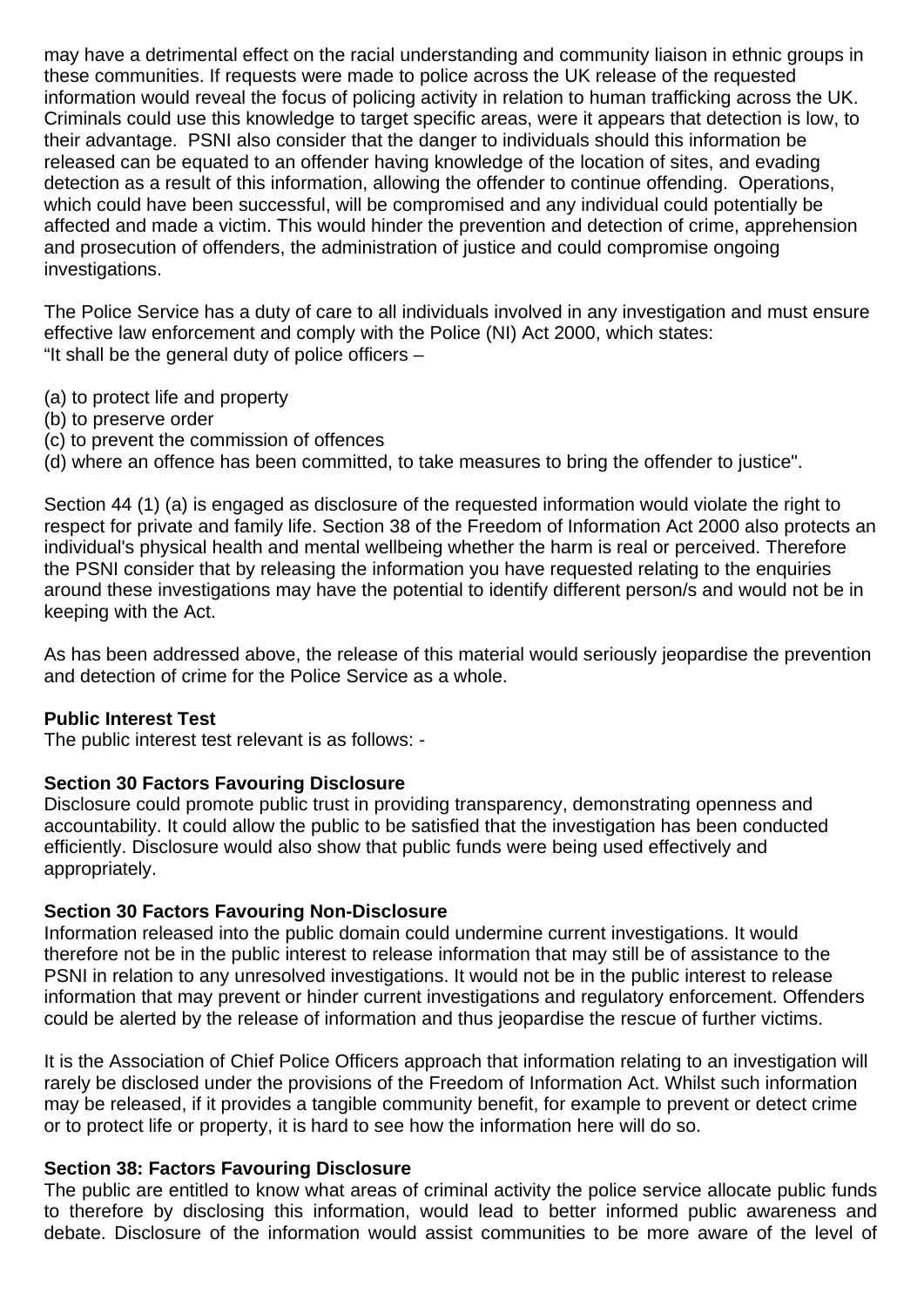may have a detrimental effect on the racial understanding and community liaison in ethnic groups in these communities. If requests were made to police across the UK release of the requested information would reveal the focus of policing activity in relation to human trafficking across the UK. Criminals could use this knowledge to target specific areas, were it appears that detection is low, to their advantage. PSNI also consider that the danger to individuals should this information be released can be equated to an offender having knowledge of the location of sites, and evading detection as a result of this information, allowing the offender to continue offending. Operations, which could have been successful, will be compromised and any individual could potentially be affected and made a victim. This would hinder the prevention and detection of crime, apprehension and prosecution of offenders, the administration of justice and could compromise ongoing investigations.

The Police Service has a duty of care to all individuals involved in any investigation and must ensure effective law enforcement and comply with the Police (NI) Act 2000, which states: "It shall be the general duty of police officers –

- (a) to protect life and property
- (b) to preserve order
- (c) to prevent the commission of offences
- (d) where an offence has been committed, to take measures to bring the offender to justice".

Section 44 (1) (a) is engaged as disclosure of the requested information would violate the right to respect for private and family life. Section 38 of the Freedom of Information Act 2000 also protects an individual's physical health and mental wellbeing whether the harm is real or perceived. Therefore the PSNI consider that by releasing the information you have requested relating to the enquiries around these investigations may have the potential to identify different person/s and would not be in keeping with the Act.

As has been addressed above, the release of this material would seriously jeopardise the prevention and detection of crime for the Police Service as a whole.

#### **Public Interest Test**

The public interest test relevant is as follows: -

#### **Section 30 Factors Favouring Disclosure**

Disclosure could promote public trust in providing transparency, demonstrating openness and accountability. It could allow the public to be satisfied that the investigation has been conducted efficiently. Disclosure would also show that public funds were being used effectively and appropriately.

#### **Section 30 Factors Favouring Non-Disclosure**

Information released into the public domain could undermine current investigations. It would therefore not be in the public interest to release information that may still be of assistance to the PSNI in relation to any unresolved investigations. It would not be in the public interest to release information that may prevent or hinder current investigations and regulatory enforcement. Offenders could be alerted by the release of information and thus jeopardise the rescue of further victims.

It is the Association of Chief Police Officers approach that information relating to an investigation will rarely be disclosed under the provisions of the Freedom of Information Act. Whilst such information may be released, if it provides a tangible community benefit, for example to prevent or detect crime or to protect life or property, it is hard to see how the information here will do so.

#### **Section 38: Factors Favouring Disclosure**

The public are entitled to know what areas of criminal activity the police service allocate public funds to therefore by disclosing this information, would lead to better informed public awareness and debate. Disclosure of the information would assist communities to be more aware of the level of